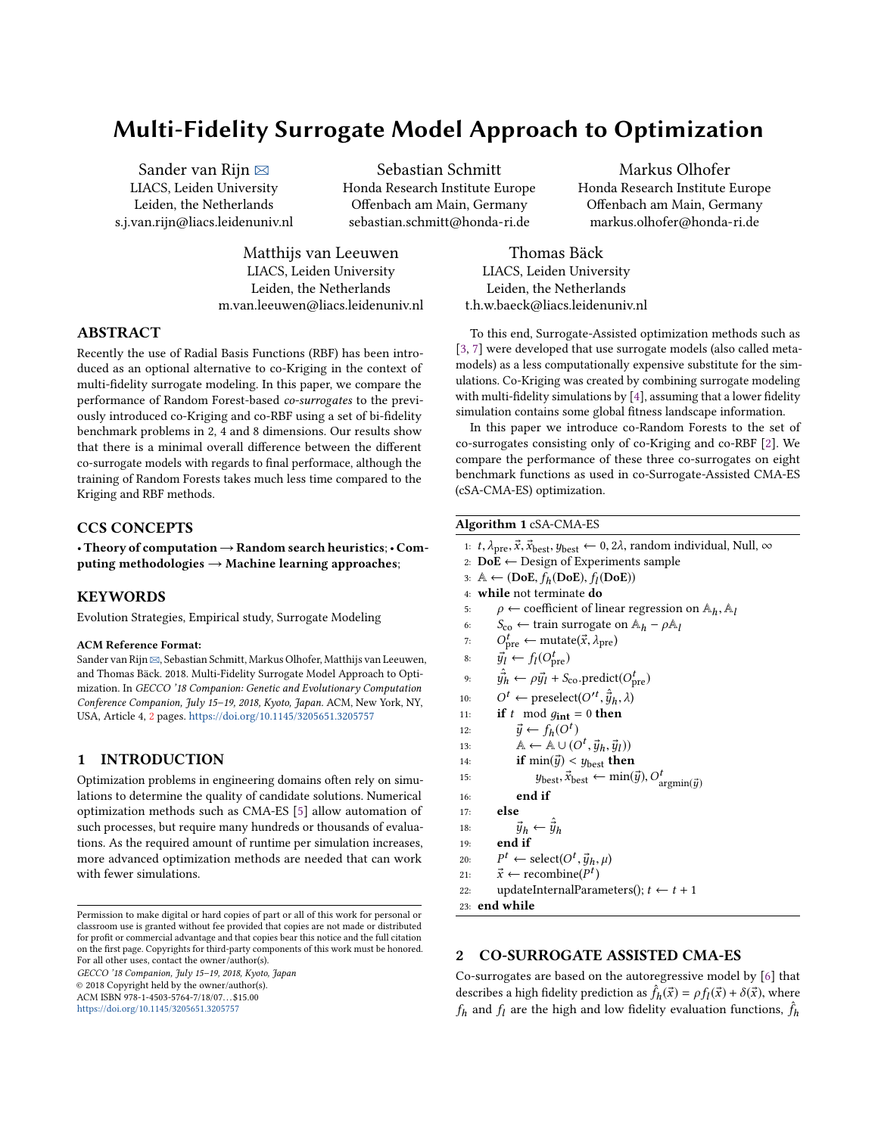# Multi-Fidelity Surrogate Model Approach to Optimization

Sander van Rijn  $\boxtimes$ LIACS, Leiden University Leiden, the Netherlands s.j.van.rijn@liacs.leidenuniv.nl

Sebastian Schmitt Honda Research Institute Europe Offenbach am Main, Germany sebastian.schmitt@honda-ri.de

Matthijs van Leeuwen LIACS, Leiden University Leiden, the Netherlands m.van.leeuwen@liacs.leidenuniv.nl

# ABSTRACT

Recently the use of Radial Basis Functions (RBF) has been introduced as an optional alternative to co-Kriging in the context of multi-fidelity surrogate modeling. In this paper, we compare the performance of Random Forest-based co-surrogates to the previously introduced co-Kriging and co-RBF using a set of bi-fidelity benchmark problems in 2, 4 and 8 dimensions. Our results show that there is a minimal overall difference between the different co-surrogate models with regards to final performace, although the training of Random Forests takes much less time compared to the Kriging and RBF methods.

# CCS CONCEPTS

• Theory of computation→Random search heuristics;• Computing methodologies  $\rightarrow$  Machine learning approaches;

# **KEYWORDS**

Evolution Strategies, Empirical study, Surrogate Modeling

#### ACM Reference Format:

Sander van Rijn  $\boxtimes$ , Sebastian Schmitt, Markus Olhofer, Matthijs van Leeuwen, and Thomas Bäck. 2018. Multi-Fidelity Surrogate Model Approach to Optimization. In GECCO '18 Companion: Genetic and Evolutionary Computation Conference Companion, July 15–19, 2018, Kyoto, Japan. ACM, New York, NY, USA, Article 4, [2](#page-1-0) pages. <https://doi.org/10.1145/3205651.3205757>

# 1 INTRODUCTION

Optimization problems in engineering domains often rely on simulations to determine the quality of candidate solutions. Numerical optimization methods such as CMA-ES [\[5\]](#page-1-1) allow automation of such processes, but require many hundreds or thousands of evaluations. As the required amount of runtime per simulation increases, more advanced optimization methods are needed that can work with fewer simulations.

GECCO '18 Companion, July 15–19, 2018, Kyoto, Japan

© 2018 Copyright held by the owner/author(s).

ACM ISBN 978-1-4503-5764-7/18/07. . . \$15.00 <https://doi.org/10.1145/3205651.3205757>

Markus Olhofer Honda Research Institute Europe Offenbach am Main, Germany markus.olhofer@honda-ri.de

Thomas Bäck LIACS, Leiden University Leiden, the Netherlands t.h.w.baeck@liacs.leidenuniv.nl

To this end, Surrogate-Assisted optimization methods such as [\[3,](#page-1-2) [7\]](#page-1-3) were developed that use surrogate models (also called metamodels) as a less computationally expensive substitute for the simulations. Co-Kriging was created by combining surrogate modeling with multi-fidelity simulations by [\[4\]](#page-1-4), assuming that a lower fidelity simulation contains some global fitness landscape information.

In this paper we introduce co-Random Forests to the set of co-surrogates consisting only of co-Kriging and co-RBF [\[2\]](#page-1-5). We compare the performance of these three co-surrogates on eight benchmark functions as used in co-Surrogate-Assisted CMA-ES (cSA-CMA-ES) optimization.

### <span id="page-0-0"></span>Algorithm 1 cSA-CMA-ES

```
1: t, \lambda_{pre}, \vec{x}, \vec{x}_{best}, y_{best} \leftarrow 0, 2\lambda, random individual, Null, \infty
```
- 2:  $DoE \leftarrow$  Design of Experiments sample
- 3:  $\mathbb{A} \leftarrow (DoE, f_h(DoE), f_l(DoE))$ <br>4. while not terminate do
- 4: while not terminate do
- 5:  $\rho \leftarrow$  coefficient of linear regression on  $\mathbb{A}_h$ ,  $\mathbb{A}_l$ <br>6:  $S_{\text{co}} \leftarrow$  train surrogate on  $\mathbb{A}_h \rho \mathbb{A}_l$
- 6:  $S_{\text{co}} \leftarrow \text{train surrogate on } A_h \rho A_l$ <br>7:  $O_{\text{max}}^t \leftarrow \text{mutate}(\vec{x}, \lambda_{\text{true}})$
- 7:  $O_{\text{pre}}^t$  ← mutate( $\vec{x}, \lambda_{\text{pre}}$ )
- 8:  $\vec{y}_l \leftarrow f_l(O_{pre}^t)$
- 9:  $\hat{y}_h^2 \leftarrow \rho \vec{y}_l + S_{\text{co}}.\text{predict}(O_{\text{pre}}^t)$
- 10:  $O^t \leftarrow \text{present}(O'^t, \hat{\vec{y}}_h, \lambda)$ <br>11. **if** t mod  $g_{t+1} = 0$  then
- 11: if t mod  $g_{int} = 0$  then
- 12:  $\vec{y} \leftarrow f_h(O^t)$ <br>
13:  $\&\leftarrow \& \perp \parallel (C)$
- 13:  $\mathbb{A} \leftarrow \mathbb{A} \cup (O^t, \vec{y}_h, \vec{y}_l)$ <br>
14: **if** min( $\vec{w}$ ) < 1b then
- 14: **if**  $\min(\vec{y}) < y_{\text{best}}$  then
- 15:  $y_{\text{best}}, \vec{x}_{\text{best}} \leftarrow \min(\vec{y}), O^t_{\text{argmin}(\vec{y})}$ <br>16. **and if**
- 16: end if

17: else

```
18: \vec{y}_h \leftarrow \vec{y}_h<br>19: end if
              end if
```
- 
- $20:$ <br> $21:$  $t$  ← select( $O^t$ ,  $\vec{y}_h$ ,  $\mu$ )<br>← recombine( $P^t$ )
- 21:  $\vec{x}$  ← recombine( $P<sup>t</sup>$ )<br>22: undateInternalParai
- 22: updateInternalParameters();  $t \leftarrow t + 1$
- 23: end while

# 2 CO-SURROGATE ASSISTED CMA-ES

Co-surrogates are based on the autoregressive model by [\[6\]](#page-1-6) that describes a high fidelity prediction as  $\hat{f}_h(\vec{x}) = \rho f_l(\vec{x}) + \delta(\vec{x})$ , where  $f_k$  and  $f_k$  are the high and low fidelity evolution functions.  $\hat{f}_k$  $f_h$  and  $f_l$  are the high and low fidelity evaluation functions,  $\hat{f}_h$ 

Permission to make digital or hard copies of part or all of this work for personal or classroom use is granted without fee provided that copies are not made or distributed for profit or commercial advantage and that copies bear this notice and the full citation on the first page. Copyrights for third-party components of this work must be honored. For all other uses, contact the owner/author(s).